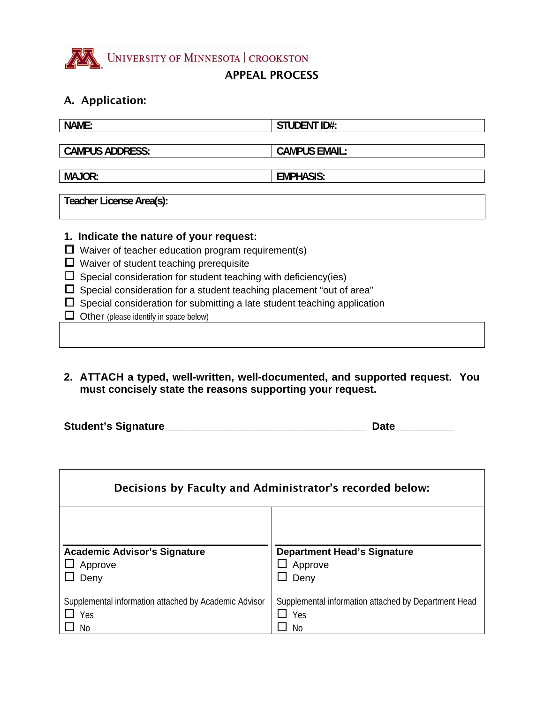

# A. Application:

| NAME:                                                                | <b>STUDENT ID#:</b>  |  |  |  |
|----------------------------------------------------------------------|----------------------|--|--|--|
|                                                                      |                      |  |  |  |
| <b>CAMPUS ADDRESS:</b>                                               | <b>CAMPUS EMAIL:</b> |  |  |  |
|                                                                      |                      |  |  |  |
| <b>MAJOR:</b>                                                        | <b>EMPHASIS:</b>     |  |  |  |
|                                                                      |                      |  |  |  |
| Teacher License Area(s):                                             |                      |  |  |  |
|                                                                      |                      |  |  |  |
| 1. Indicate the nature of your request:                              |                      |  |  |  |
| Waiver of teacher education program requirement(s)                   |                      |  |  |  |
| Waiver of student teaching prerequisite                              |                      |  |  |  |
| Special consideration for student teaching with deficiency(ies)      |                      |  |  |  |
| Special consideration for a student teaching placement "out of area" |                      |  |  |  |

- $\square$  Special consideration for submitting a late student teaching application
- **Other** (please identify in space below)
- **2. ATTACH a typed, well-written, well-documented, and supported request. You must concisely state the reasons supporting your request.**

| <b>Student's Signature</b> | Date |
|----------------------------|------|
|                            |      |

| Decisions by Faculty and Administrator's recorded below: |                                                      |  |
|----------------------------------------------------------|------------------------------------------------------|--|
| <b>Academic Advisor's Signature</b>                      | <b>Department Head's Signature</b>                   |  |
| Approve                                                  | Approve                                              |  |
| Deny                                                     | Deny                                                 |  |
| Supplemental information attached by Academic Advisor    | Supplemental information attached by Department Head |  |
| Yes                                                      | Yes                                                  |  |
| No                                                       | No                                                   |  |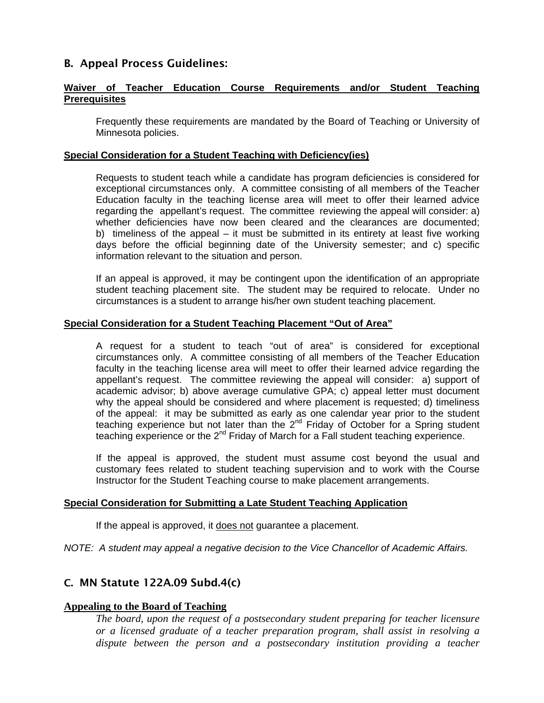## B. Appeal Process Guidelines:

#### **Waiver of Teacher Education Course Requirements and/or Student Teaching Prerequisites**

 Frequently these requirements are mandated by the Board of Teaching or University of Minnesota policies.

#### **Special Consideration for a Student Teaching with Deficiency(ies)**

 Requests to student teach while a candidate has program deficiencies is considered for exceptional circumstances only. A committee consisting of all members of the Teacher Education faculty in the teaching license area will meet to offer their learned advice regarding the appellant's request. The committee reviewing the appeal will consider: a) whether deficiencies have now been cleared and the clearances are documented; b) timeliness of the appeal – it must be submitted in its entirety at least five working days before the official beginning date of the University semester; and c) specific information relevant to the situation and person.

 If an appeal is approved, it may be contingent upon the identification of an appropriate student teaching placement site. The student may be required to relocate. Under no circumstances is a student to arrange his/her own student teaching placement.

#### **Special Consideration for a Student Teaching Placement "Out of Area"**

 A request for a student to teach "out of area" is considered for exceptional circumstances only. A committee consisting of all members of the Teacher Education faculty in the teaching license area will meet to offer their learned advice regarding the appellant's request. The committee reviewing the appeal will consider: a) support of academic advisor; b) above average cumulative GPA; c) appeal letter must document why the appeal should be considered and where placement is requested; d) timeliness of the appeal: it may be submitted as early as one calendar year prior to the student teaching experience but not later than the  $2^{nd}$  Friday of October for a Spring student teaching experience or the  $2^{nd}$  Friday of March for a Fall student teaching experience.

 If the appeal is approved, the student must assume cost beyond the usual and customary fees related to student teaching supervision and to work with the Course Instructor for the Student Teaching course to make placement arrangements.

#### **Special Consideration for Submitting a Late Student Teaching Application**

If the appeal is approved, it does not guarantee a placement.

*NOTE: A student may appeal a negative decision to the Vice Chancellor of Academic Affairs.* 

### C. MN Statute 122A.09 Subd.4(c)

#### **Appealing to the Board of Teaching**

*The board, upon the request of a postsecondary student preparing for teacher licensure or a licensed graduate of a teacher preparation program, shall assist in resolving a*  dispute between the person and a postsecondary institution providing a teacher